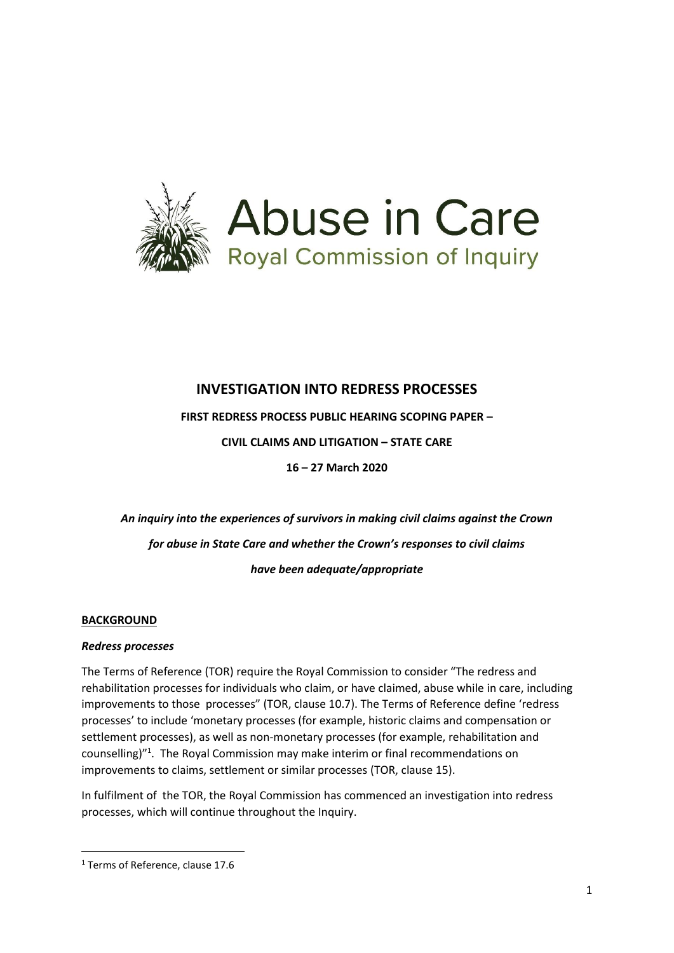

# **INVESTIGATION INTO REDRESS PROCESSES**

**FIRST REDRESS PROCESS PUBLIC HEARING SCOPING PAPER –**

**CIVIL CLAIMS AND LITIGATION – STATE CARE**

**16 – 27 March 2020**

*An inquiry into the experiences of survivors in making civil claims against the Crown for abuse in State Care and whether the Crown's responses to civil claims have been adequate/appropriate* 

### **BACKGROUND**

### *Redress processes*

The Terms of Reference (TOR) require the Royal Commission to consider "The redress and rehabilitation processes for individuals who claim, or have claimed, abuse while in care, including improvements to those processes" (TOR, clause 10.7). The Terms of Reference define 'redress processes' to include 'monetary processes (for example, historic claims and compensation or settlement processes), as well as non-monetary processes (for example, rehabilitation and counselling)"<sup>1</sup> . The Royal Commission may make interim or final recommendations on improvements to claims, settlement or similar processes (TOR, clause 15).

In fulfilment of the TOR, the Royal Commission has commenced an investigation into redress processes, which will continue throughout the Inquiry.

**.** 

<sup>1</sup> Terms of Reference, clause 17.6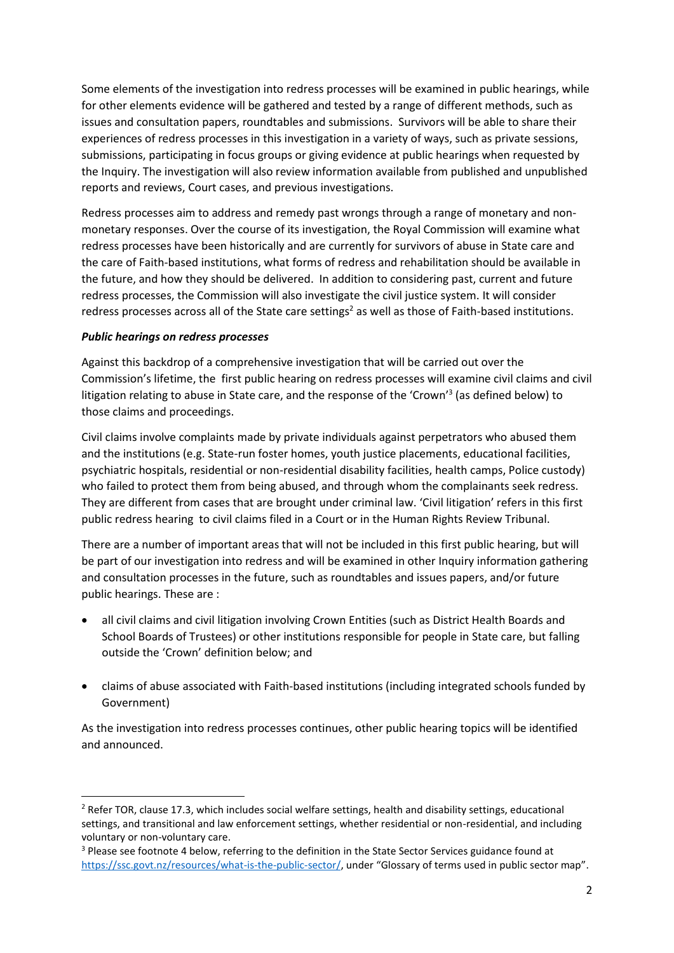Some elements of the investigation into redress processes will be examined in public hearings, while for other elements evidence will be gathered and tested by a range of different methods, such as issues and consultation papers, roundtables and submissions. Survivors will be able to share their experiences of redress processes in this investigation in a variety of ways, such as private sessions, submissions, participating in focus groups or giving evidence at public hearings when requested by the Inquiry. The investigation will also review information available from published and unpublished reports and reviews, Court cases, and previous investigations.

Redress processes aim to address and remedy past wrongs through a range of monetary and nonmonetary responses. Over the course of its investigation, the Royal Commission will examine what redress processes have been historically and are currently for survivors of abuse in State care and the care of Faith-based institutions, what forms of redress and rehabilitation should be available in the future, and how they should be delivered. In addition to considering past, current and future redress processes, the Commission will also investigate the civil justice system. It will consider redress processes across all of the State care settings<sup>2</sup> as well as those of Faith-based institutions.

## *Public hearings on redress processes*

**.** 

Against this backdrop of a comprehensive investigation that will be carried out over the Commission's lifetime, the first public hearing on redress processes will examine civil claims and civil litigation relating to abuse in State care, and the response of the 'Crown'<sup>3</sup> (as defined below) to those claims and proceedings.

Civil claims involve complaints made by private individuals against perpetrators who abused them and the institutions (e.g. State-run foster homes, youth justice placements, educational facilities, psychiatric hospitals, residential or non-residential disability facilities, health camps, Police custody) who failed to protect them from being abused, and through whom the complainants seek redress. They are different from cases that are brought under criminal law. 'Civil litigation' refers in this first public redress hearing to civil claims filed in a Court or in the Human Rights Review Tribunal.

There are a number of important areas that will not be included in this first public hearing, but will be part of our investigation into redress and will be examined in other Inquiry information gathering and consultation processes in the future, such as roundtables and issues papers, and/or future public hearings. These are :

- all civil claims and civil litigation involving Crown Entities (such as District Health Boards and School Boards of Trustees) or other institutions responsible for people in State care, but falling outside the 'Crown' definition below; and
- claims of abuse associated with Faith-based institutions (including integrated schools funded by Government)

As the investigation into redress processes continues, other public hearing topics will be identified and announced.

<sup>&</sup>lt;sup>2</sup> Refer TOR, clause 17.3, which includes social welfare settings, health and disability settings, educational settings, and transitional and law enforcement settings, whether residential or non-residential, and including voluntary or non-voluntary care.

<sup>&</sup>lt;sup>3</sup> Please see footnote 4 below, referring to the definition in the State Sector Services guidance found at [https://ssc.govt.nz/resources/what-is-the-public-sector/,](https://aus01.safelinks.protection.outlook.com/?url=https%3A%2F%2Fssc.govt.nz%2Fresources%2Fwhat-is-the-public-sector%2F&data=02%7C01%7C%7C50b5cf28a89d4ccab9c608d73570b6db%7C1a50e6388eac457ab57ec63934e512d1%7C0%7C0%7C637036630542221871&sdata=Y9GRnYmswdJzVRYmWV%2FdWJmQSsalxm3x8s1b8uPu%2B3E%3D&reserved=0) under "Glossary of terms used in public sector map".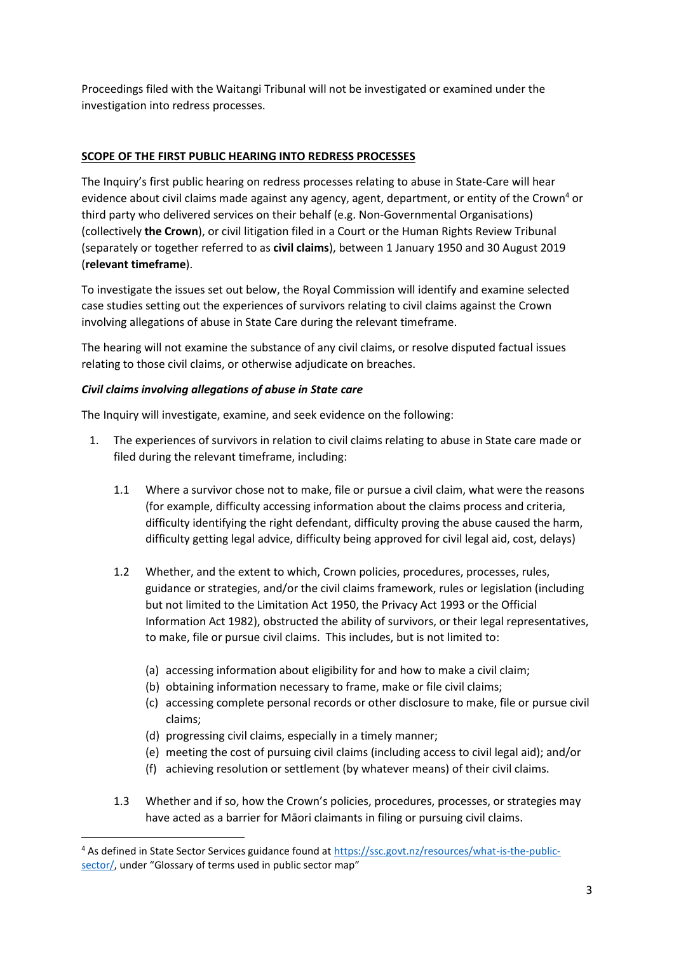Proceedings filed with the Waitangi Tribunal will not be investigated or examined under the investigation into redress processes.

# **SCOPE OF THE FIRST PUBLIC HEARING INTO REDRESS PROCESSES**

The Inquiry's first public hearing on redress processes relating to abuse in State-Care will hear evidence about civil claims made against any agency, agent, department, or entity of the Crown<sup>4</sup> or third party who delivered services on their behalf (e.g. Non-Governmental Organisations) (collectively **the Crown**), or civil litigation filed in a Court or the Human Rights Review Tribunal (separately or together referred to as **civil claims**), between 1 January 1950 and 30 August 2019 (**relevant timeframe**).

To investigate the issues set out below, the Royal Commission will identify and examine selected case studies setting out the experiences of survivors relating to civil claims against the Crown involving allegations of abuse in State Care during the relevant timeframe.

The hearing will not examine the substance of any civil claims, or resolve disputed factual issues relating to those civil claims, or otherwise adjudicate on breaches.

## *Civil claims involving allegations of abuse in State care*

 $\overline{a}$ 

The Inquiry will investigate, examine, and seek evidence on the following:

- 1. The experiences of survivors in relation to civil claims relating to abuse in State care made or filed during the relevant timeframe, including:
	- 1.1 Where a survivor chose not to make, file or pursue a civil claim, what were the reasons (for example, difficulty accessing information about the claims process and criteria, difficulty identifying the right defendant, difficulty proving the abuse caused the harm, difficulty getting legal advice, difficulty being approved for civil legal aid, cost, delays)
	- 1.2 Whether, and the extent to which, Crown policies, procedures, processes, rules, guidance or strategies, and/or the civil claims framework, rules or legislation (including but not limited to the Limitation Act 1950, the Privacy Act 1993 or the Official Information Act 1982), obstructed the ability of survivors, or their legal representatives, to make, file or pursue civil claims. This includes, but is not limited to:
		- (a) accessing information about eligibility for and how to make a civil claim;
		- (b) obtaining information necessary to frame, make or file civil claims;
		- (c) accessing complete personal records or other disclosure to make, file or pursue civil claims;
		- (d) progressing civil claims, especially in a timely manner;
		- (e) meeting the cost of pursuing civil claims (including access to civil legal aid); and/or
		- (f) achieving resolution or settlement (by whatever means) of their civil claims.
	- 1.3 Whether and if so, how the Crown's policies, procedures, processes, or strategies may have acted as a barrier for Māori claimants in filing or pursuing civil claims.

<sup>4</sup> As defined in State Sector Services guidance found at [https://ssc.govt.nz/resources/what-is-the-public](https://aus01.safelinks.protection.outlook.com/?url=https%3A%2F%2Fssc.govt.nz%2Fresources%2Fwhat-is-the-public-sector%2F&data=02%7C01%7C%7C50b5cf28a89d4ccab9c608d73570b6db%7C1a50e6388eac457ab57ec63934e512d1%7C0%7C0%7C637036630542221871&sdata=Y9GRnYmswdJzVRYmWV%2FdWJmQSsalxm3x8s1b8uPu%2B3E%3D&reserved=0)[sector/,](https://aus01.safelinks.protection.outlook.com/?url=https%3A%2F%2Fssc.govt.nz%2Fresources%2Fwhat-is-the-public-sector%2F&data=02%7C01%7C%7C50b5cf28a89d4ccab9c608d73570b6db%7C1a50e6388eac457ab57ec63934e512d1%7C0%7C0%7C637036630542221871&sdata=Y9GRnYmswdJzVRYmWV%2FdWJmQSsalxm3x8s1b8uPu%2B3E%3D&reserved=0) under "Glossary of terms used in public sector map"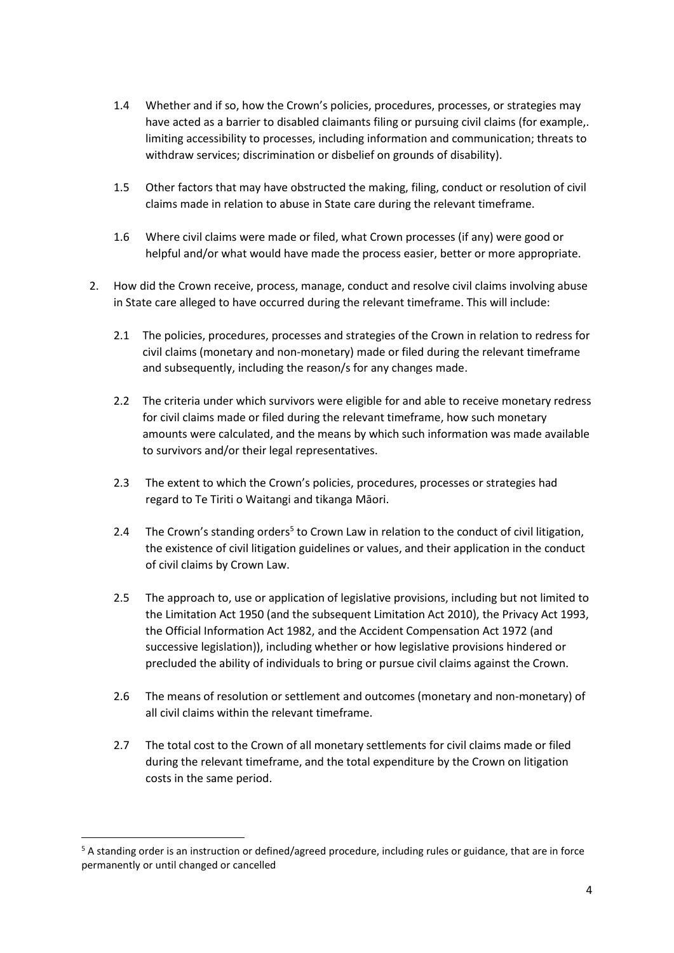- 1.4 Whether and if so, how the Crown's policies, procedures, processes, or strategies may have acted as a barrier to disabled claimants filing or pursuing civil claims (for example,. limiting accessibility to processes, including information and communication; threats to withdraw services; discrimination or disbelief on grounds of disability).
- 1.5 Other factors that may have obstructed the making, filing, conduct or resolution of civil claims made in relation to abuse in State care during the relevant timeframe.
- 1.6 Where civil claims were made or filed, what Crown processes (if any) were good or helpful and/or what would have made the process easier, better or more appropriate.
- 2. How did the Crown receive, process, manage, conduct and resolve civil claims involving abuse in State care alleged to have occurred during the relevant timeframe. This will include:
	- 2.1 The policies, procedures, processes and strategies of the Crown in relation to redress for civil claims (monetary and non-monetary) made or filed during the relevant timeframe and subsequently, including the reason/s for any changes made.
	- 2.2 The criteria under which survivors were eligible for and able to receive monetary redress for civil claims made or filed during the relevant timeframe, how such monetary amounts were calculated, and the means by which such information was made available to survivors and/or their legal representatives.
	- 2.3 The extent to which the Crown's policies, procedures, processes or strategies had regard to Te Tiriti o Waitangi and tikanga Māori.
	- 2.4 The Crown's standing orders<sup>5</sup> to Crown Law in relation to the conduct of civil litigation, the existence of civil litigation guidelines or values, and their application in the conduct of civil claims by Crown Law.
	- 2.5 The approach to, use or application of legislative provisions, including but not limited to the Limitation Act 1950 (and the subsequent Limitation Act 2010), the Privacy Act 1993, the Official Information Act 1982, and the Accident Compensation Act 1972 (and successive legislation)), including whether or how legislative provisions hindered or precluded the ability of individuals to bring or pursue civil claims against the Crown.
	- 2.6 The means of resolution or settlement and outcomes (monetary and non-monetary) of all civil claims within the relevant timeframe.
	- 2.7 The total cost to the Crown of all monetary settlements for civil claims made or filed during the relevant timeframe, and the total expenditure by the Crown on litigation costs in the same period.

 $\overline{a}$ 

<sup>5</sup> A standing order is an instruction or defined/agreed procedure, including rules or guidance, that are in force permanently or until changed or cancelled